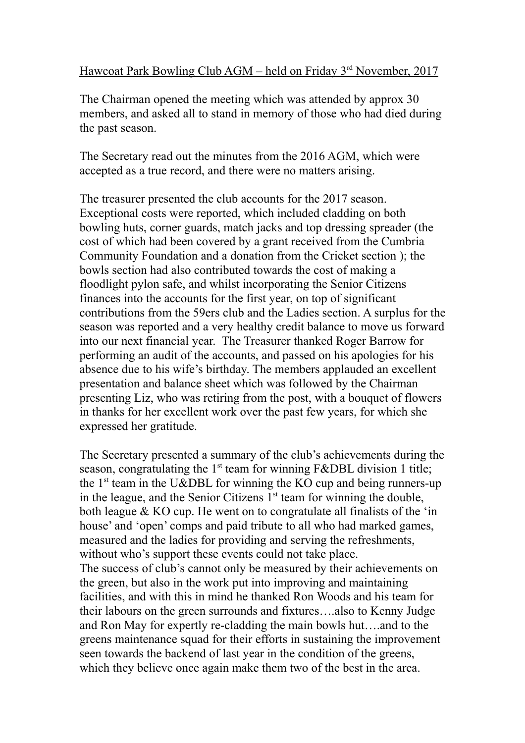Hawcoat Park Bowling Club AGM – held on Friday 3<sup>rd</sup> November, 2017

The Chairman opened the meeting which was attended by approx 30 members, and asked all to stand in memory of those who had died during the past season.

The Secretary read out the minutes from the 2016 AGM, which were accepted as a true record, and there were no matters arising.

The treasurer presented the club accounts for the 2017 season. Exceptional costs were reported, which included cladding on both bowling huts, corner guards, match jacks and top dressing spreader (the cost of which had been covered by a grant received from the Cumbria Community Foundation and a donation from the Cricket section ); the bowls section had also contributed towards the cost of making a floodlight pylon safe, and whilst incorporating the Senior Citizens finances into the accounts for the first year, on top of significant contributions from the 59ers club and the Ladies section. A surplus for the season was reported and a very healthy credit balance to move us forward into our next financial year. The Treasurer thanked Roger Barrow for performing an audit of the accounts, and passed on his apologies for his absence due to his wife's birthday. The members applauded an excellent presentation and balance sheet which was followed by the Chairman presenting Liz, who was retiring from the post, with a bouquet of flowers in thanks for her excellent work over the past few years, for which she expressed her gratitude.

The Secretary presented a summary of the club's achievements during the season, congratulating the  $1<sup>st</sup>$  team for winning F&DBL division 1 title; the  $1<sup>st</sup>$  team in the U&DBL for winning the KO cup and being runners-up in the league, and the Senior Citizens  $1<sup>st</sup>$  team for winning the double, both league & KO cup. He went on to congratulate all finalists of the 'in house' and 'open' comps and paid tribute to all who had marked games, measured and the ladies for providing and serving the refreshments, without who's support these events could not take place. The success of club's cannot only be measured by their achievements on the green, but also in the work put into improving and maintaining facilities, and with this in mind he thanked Ron Woods and his team for their labours on the green surrounds and fixtures….also to Kenny Judge and Ron May for expertly re-cladding the main bowls hut….and to the greens maintenance squad for their efforts in sustaining the improvement seen towards the backend of last year in the condition of the greens, which they believe once again make them two of the best in the area.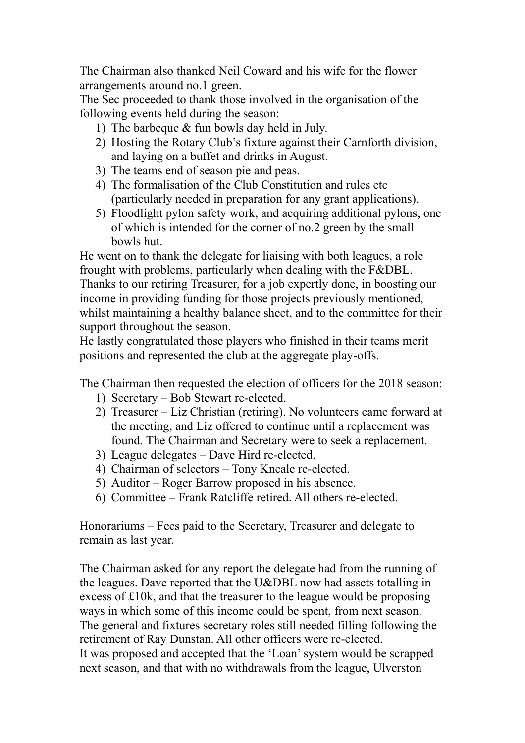The Chairman also thanked Neil Coward and his wife for the flower arrangements around no.1 green.

The Sec proceeded to thank those involved in the organisation of the following events held during the season:

- 1) The barbeque & fun bowls day held in July.
- 2) Hosting the Rotary Club's fixture against their Carnforth division, and laying on a buffet and drinks in August.
- 3) The teams end of season pie and peas.
- 4) The formalisation of the Club Constitution and rules etc (particularly needed in preparation for any grant applications).
- 5) Floodlight pylon safety work, and acquiring additional pylons, one of which is intended for the corner of no.2 green by the small bowls hut.

He went on to thank the delegate for liaising with both leagues, a role frought with problems, particularly when dealing with the F&DBL. Thanks to our retiring Treasurer, for a job expertly done, in boosting our income in providing funding for those projects previously mentioned, whilst maintaining a healthy balance sheet, and to the committee for their support throughout the season.

He lastly congratulated those players who finished in their teams merit positions and represented the club at the aggregate play-offs.

The Chairman then requested the election of officers for the 2018 season:

- 1) Secretary Bob Stewart re-elected.
- 2) Treasurer Liz Christian (retiring). No volunteers came forward at the meeting, and Liz offered to continue until a replacement was found. The Chairman and Secretary were to seek a replacement.
- 3) League delegates Dave Hird re-elected.
- 4) Chairman of selectors Tony Kneale re-elected.
- 5) Auditor Roger Barrow proposed in his absence.
- 6) Committee Frank Ratcliffe retired. All others re-elected.

Honorariums – Fees paid to the Secretary, Treasurer and delegate to remain as last year.

The Chairman asked for any report the delegate had from the running of the leagues. Dave reported that the U&DBL now had assets totalling in excess of £10k, and that the treasurer to the league would be proposing ways in which some of this income could be spent, from next season. The general and fixtures secretary roles still needed filling following the retirement of Ray Dunstan. All other officers were re-elected. It was proposed and accepted that the 'Loan' system would be scrapped next season, and that with no withdrawals from the league, Ulverston